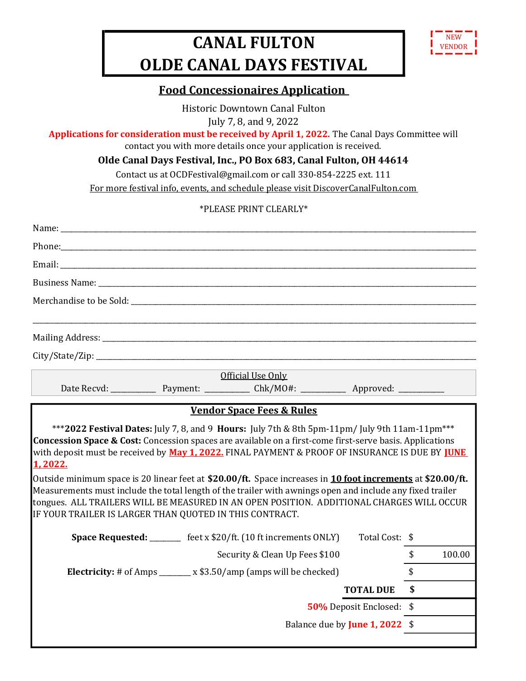## CANAL FULTON OLDE CANAL DAYS FESTIVAL



## Food Concessionaires Application

Historic Downtown Canal Fulton July 7, 8, and 9, 2022

Applications for consideration must be received by April 1, 2022. The Canal Days Committee will

contact you with more details once your application is received.

Olde Canal Days Festival, Inc., PO Box 683, Canal Fulton, OH 44614

Contact us at OCDFestival@gmail.com or call 330-854-2225 ext. 111

For more festival info, events, and schedule please visit DiscoverCanalFulton.com

## \*PLEASE PRINT CLEARLY\*

|                                                         | Phone: The contract of the contract of the contract of the contract of the contract of the contract of the contract of the contract of the contract of the contract of the contract of the contract of the contract of the con                                                                                                                                                                                                  |                          |              |
|---------------------------------------------------------|---------------------------------------------------------------------------------------------------------------------------------------------------------------------------------------------------------------------------------------------------------------------------------------------------------------------------------------------------------------------------------------------------------------------------------|--------------------------|--------------|
|                                                         |                                                                                                                                                                                                                                                                                                                                                                                                                                 |                          |              |
|                                                         |                                                                                                                                                                                                                                                                                                                                                                                                                                 |                          |              |
|                                                         |                                                                                                                                                                                                                                                                                                                                                                                                                                 |                          |              |
|                                                         |                                                                                                                                                                                                                                                                                                                                                                                                                                 |                          |              |
|                                                         |                                                                                                                                                                                                                                                                                                                                                                                                                                 |                          |              |
|                                                         | Official Use Only                                                                                                                                                                                                                                                                                                                                                                                                               |                          |              |
|                                                         |                                                                                                                                                                                                                                                                                                                                                                                                                                 |                          |              |
| 1,2022.                                                 | with deposit must be received by May 1, 2022. FINAL PAYMENT & PROOF OF INSURANCE IS DUE BY <u>IUNE</u><br>Outside minimum space is 20 linear feet at \$20.00/ft. Space increases in 10 foot increments at \$20.00/ft.<br>Measurements must include the total length of the trailer with awnings open and include any fixed trailer<br>tongues. ALL TRAILERS WILL BE MEASURED IN AN OPEN POSITION. ADDITIONAL CHARGES WILL OCCUR |                          |              |
| IF YOUR TRAILER IS LARGER THAN QUOTED IN THIS CONTRACT. |                                                                                                                                                                                                                                                                                                                                                                                                                                 |                          |              |
|                                                         | <b>Space Requested:</b> _________ feet x \$20/ft. (10 ft increments ONLY)                                                                                                                                                                                                                                                                                                                                                       | Total Cost: \$           |              |
|                                                         | Security & Clean Up Fees \$100                                                                                                                                                                                                                                                                                                                                                                                                  |                          | \$<br>100.00 |
|                                                         | <b>Electricity:</b> # of Amps ________ x \$3.50/amp (amps will be checked)                                                                                                                                                                                                                                                                                                                                                      |                          | \$           |
|                                                         |                                                                                                                                                                                                                                                                                                                                                                                                                                 | <b>TOTAL DUE</b>         | \$           |
|                                                         |                                                                                                                                                                                                                                                                                                                                                                                                                                 | 50% Deposit Enclosed: \$ |              |